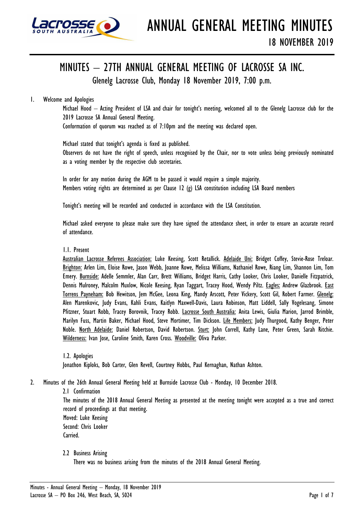

# MINUTES – 27TH ANNUAL GENERAL MEETING OF LACROSSE SA INC.

Glenelg Lacrosse Club, Monday 18 November 2019, 7:00 p.m.

# 1. Welcome and Apologies

Michael Hood – Acting President of LSA and chair for tonight's meeting, welcomed all to the Glenelg Lacrosse club for the 2019 Lacrosse SA Annual General Meeting.

Conformation of quorum was reached as of 7:10pm and the meeting was declared open.

Michael stated that tonight's agenda is fixed as published.

Observers do not have the right of speech, unless recognised by the Chair, nor to vote unless being previously nominated as a voting member by the respective club secretaries.

In order for any motion during the AGM to be passed it would require a simple majority. Members voting rights are determined as per Clause 12 (g) LSA constitution including LSA Board members

Tonight's meeting will be recorded and conducted in accordance with the LSA Constitution.

Michael asked everyone to please make sure they have signed the attendance sheet, in order to ensure an accurate record of attendance.

1.1. Present

Australian Lacrosse Referees Association: Luke Keesing, Scott Retallick. Adelaide Uni: Bridget Coffey, Stevie-Rose Treloar. Brighton: Arlen Lim, Eloise Rowe, Jason Webb, Joanne Rowe, Melissa Williams, Nathaniel Rowe, Riang Lim, Shannon Lim, Tom Emery. Burnside: Adelle Semmler, Alan Carr, Brett Williams, Bridget Harris, Cathy Looker, Chris Looker, Danielle Fitzpatrick, Dennis Mulroney, Malcolm Muxlow, Nicole Keesing, Ryan Taggart, Tracey Hood, Wendy Piltz. Eagles: Andrew Glazbrook. East Torrens Payneham: Bob Hewitson, Jem McGee, Leona King, Mandy Arscott, Peter Vickery, Scott Gil, Robert Farmer. Glenelg: Alen Marenkovic, Judy Evans, Kahli Evans, Kaitlyn Maxwell-Davis, Laura Robinson, Matt Liddell, Sally Vogelesang, Simone Pfitzner, Stuart Robb, Tracey Borovnik, Tracey Robb. Lacrosse South Australia: Anita Lewis, Giulia Marion, Jarrod Brimble, Marilyn Fuss, Martin Baker, Michael Hood, Steve Mortimer, Tim Dickson. Life Members: Judy Thurgood, Kathy Benger, Peter Noble. North Adelaide: Daniel Robertson, David Robertson. Sturt: John Correll, Kathy Lane, Peter Green, Sarah Ritchie. Wilderness: Ivan Jose, Caroline Smith, Karen Cross. Woodville: Oliva Parker.

1.2. Apologies Jonathon Kiploks, Bob Carter, Glen Revell, Courtney Hobbs, Paul Kernaghan, Nathan Ashton.

- 2. Minutes of the 26th Annual General Meeting held at Burnside Lacrosse Club Monday, 10 December 2018.
	- 2.1 Confirmation

The minutes of the 2018 Annual General Meeting as presented at the meeting tonight were accepted as a true and correct record of proceedings at that meeting.

Moved: Luke Keesing Second: Chris Looker Carried.

2.2 Business Arising

There was no business arising from the minutes of the 2018 Annual General Meeting.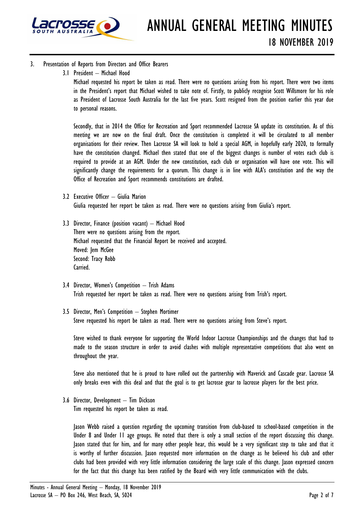

## 3. Presentation of Reports from Directors and Office Bearers

3.1 President – Michael Hood

Michael requested his report be taken as read. There were no questions arising from his report. There were two items in the President's report that Michael wished to take note of. Firstly, to publicly recognise Scott Willsmore for his role as President of Lacrosse South Australia for the last five years. Scott resigned from the position earlier this year due to personal reasons.

Secondly, that in 2014 the Office for Recreation and Sport recommended Lacrosse SA update its constitution. As of this meeting we are now on the final draft. Once the constitution is completed it will be circulated to all member organisations for their review. Then Lacrosse SA will look to hold a special AGM, in hopefully early 2020, to formally have the constitution changed. Michael then stated that one of the biggest changes is number of votes each club is required to provide at an AGM. Under the new constitution, each club or organisation will have one vote. This will significantly change the requirements for a quorum. This change is in line with ALA's constitution and the way the Office of Recreation and Sport recommends constitutions are drafted.

- 3.2 Executive Officer Giulia Marion Giulia requested her report be taken as read. There were no questions arising from Giulia's report.
- 3.3 Director, Finance (position vacant) Michael Hood There were no questions arising from the report. Michael requested that the Financial Report be received and accepted. Moved: Jem McGee Second: Tracy Robb Carried.
- 3.4 Director, Women's Competition Trish Adams Trish requested her report be taken as read. There were no questions arising from Trish's report.
- 3.5 Director, Men's Competition Stephen Mortimer Steve requested his report be taken as read. There were no questions arising from Steve's report.

Steve wished to thank everyone for supporting the World Indoor Lacrosse Championships and the changes that had to made to the season structure in order to avoid clashes with multiple representative competitions that also went on throughout the year.

Steve also mentioned that he is proud to have rolled out the partnership with Maverick and Cascade gear. Lacrosse SA only breaks even with this deal and that the goal is to get lacrosse gear to lacrosse players for the best price.

3.6 Director, Development – Tim Dickson Tim requested his report be taken as read.

Jason Webb raised a question regarding the upcoming transition from club-based to school-based competition in the Under 8 and Under 11 age groups. He noted that there is only a small section of the report discussing this change. Jason stated that for him, and for many other people hear, this would be a very significant step to take and that it is worthy of further discussion. Jason requested more information on the change as he believed his club and other clubs had been provided with very little information considering the large scale of this change. Jason expressed concern for the fact that this change has been ratified by the Board with very little communication with the clubs.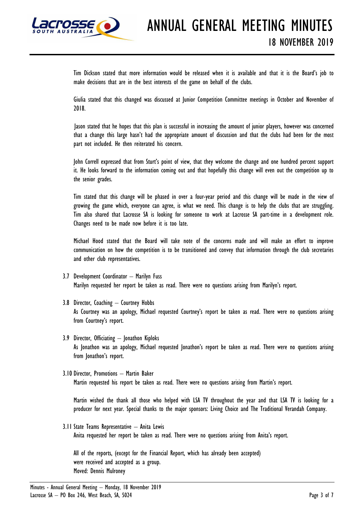

Tim Dickson stated that more information would be released when it is available and that it is the Board's job to make decisions that are in the best interests of the game on behalf of the clubs.

Giulia stated that this changed was discussed at Junior Competition Committee meetings in October and November of 2018.

 Jason stated that he hopes that this plan is successful in increasing the amount of junior players, however was concerned that a change this large hasn't had the appropriate amount of discussion and that the clubs had been for the most part not included. He then reiterated his concern.

John Correll expressed that from Sturt's point of view, that they welcome the change and one hundred percent support it. He looks forward to the information coming out and that hopefully this change will even out the competition up to the senior grades.

Tim stated that this change will be phased in over a four-year period and this change will be made in the view of growing the game which, everyone can agree, is what we need. This change is to help the clubs that are struggling. Tim also shared that Lacrosse SA is looking for someone to work at Lacrosse SA part-time in a development role. Changes need to be made now before it is too late.

Michael Hood stated that the Board will take note of the concerns made and will make an effort to improve communication on how the competition is to be transitioned and convey that information through the club secretaries and other club representatives.

- 3.7 Development Coordinator Marilyn Fuss Marilyn requested her report be taken as read. There were no questions arising from Marilyn's report.
- 3.8 Director, Coaching Courtney Hobbs As Courtney was an apology, Michael requested Courtney's report be taken as read. There were no questions arising from Courtney's report.
- 3.9 Director, Officiating Jonathon Kiploks As Jonathon was an apology, Michael requested Jonathon's report be taken as read. There were no questions arising from Jonathon's report.
- 3.10 Director, Promotions Martin Baker Martin requested his report be taken as read. There were no questions arising from Martin's report.

Martin wished the thank all those who helped with LSA TV throughout the year and that LSA TV is looking for a producer for next year. Special thanks to the major sponsors: Living Choice and The Traditional Verandah Company.

3.11 State Teams Representative – Anita Lewis Anita requested her report be taken as read. There were no questions arising from Anita's report.

All of the reports, (except for the Financial Report, which has already been accepted) were received and accepted as a group. Moved: Dennis Mulroney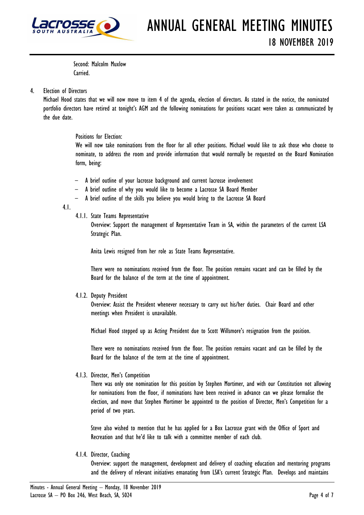

Second: Malcolm Muxlow Carried.

## 4. Election of Directors

Michael Hood states that we will now move to item 4 of the agenda, election of directors. As stated in the notice, the nominated portfolio directors have retired at tonight's AGM and the following nominations for positions vacant were taken as communicated by the due date.

#### Positions for Election:

We will now take nominations from the floor for all other positions. Michael would like to ask those who choose to nominate, to address the room and provide information that would normally be requested on the Board Nomination form, being:

- A brief outline of your lacrosse background and current lacrosse involvement
- A brief outline of why you would like to become a Lacrosse SA Board Member
- A brief outline of the skills you believe you would bring to the Lacrosse SA Board

#### 4.1.

4.1.1. State Teams Representative

Overview: Support the management of Representative Team in SA, within the parameters of the current LSA Strategic Plan.

Anita Lewis resigned from her role as State Teams Representative.

There were no nominations received from the floor. The position remains vacant and can be filled by the Board for the balance of the term at the time of appointment.

#### 4.1.2. Deputy President

Overview: Assist the President whenever necessary to carry out his/her duties. Chair Board and other meetings when President is unavailable.

Michael Hood stepped up as Acting President due to Scott Willsmore's resignation from the position.

There were no nominations received from the floor. The position remains vacant and can be filled by the Board for the balance of the term at the time of appointment.

4.1.3. Director, Men's Competition

There was only one nomination for this position by Stephen Mortimer, and with our Constitution not allowing for nominations from the floor, if nominations have been received in advance can we please formalise the election, and move that Stephen Mortimer be appointed to the position of Director, Men's Competition for a period of two years.

Steve also wished to mention that he has applied for a Box Lacrosse grant with the Office of Sport and Recreation and that he'd like to talk with a committee member of each club.

4.1.4. Director, Coaching

Overview: support the management, development and delivery of coaching education and mentoring programs and the delivery of relevant initiatives emanating from LSA's current Strategic Plan. Develops and maintains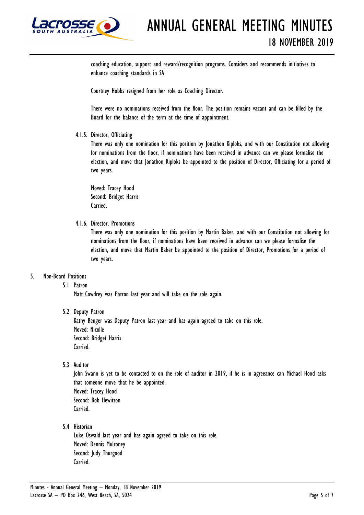

coaching education, support and reward/recognition programs. Considers and recommends initiatives to enhance coaching standards in SA

Courtney Hobbs resigned from her role as Coaching Director.

There were no nominations received from the floor. The position remains vacant and can be filled by the Board for the balance of the term at the time of appointment.

4.1.5. Director, Officiating

There was only one nomination for this position by Jonathon Kiploks, and with our Constitution not allowing for nominations from the floor, if nominations have been received in advance can we please formalise the election, and move that Jonathon Kiploks be appointed to the position of Director, Officiating for a period of two years.

Moved: Tracey Hood Second: Bridget Harris Carried.

4.1.6. Director, Promotions

There was only one nomination for this position by Martin Baker, and with our Constitution not allowing for nominations from the floor, if nominations have been received in advance can we please formalise the election, and move that Martin Baker be appointed to the position of Director, Promotions for a period of two years.

## 5. Non-Board Positions

5.1 Patron

Matt Cowdrey was Patron last year and will take on the role again.

5.2 Deputy Patron

Kathy Benger was Deputy Patron last year and has again agreed to take on this role. Moved: Nicolle Second: Bridget Harris Carried.

5.3 Auditor

John Swann is yet to be contacted to on the role of auditor in 2019, if he is in agreeance can Michael Hood asks that someone move that he be appointed. Moved: Tracey Hood Second: Bob Hewitson Carried.

5.4 Historian

Luke Oswald last year and has again agreed to take on this role. Moved: Dennis Mulroney Second: Judy Thurgood Carried.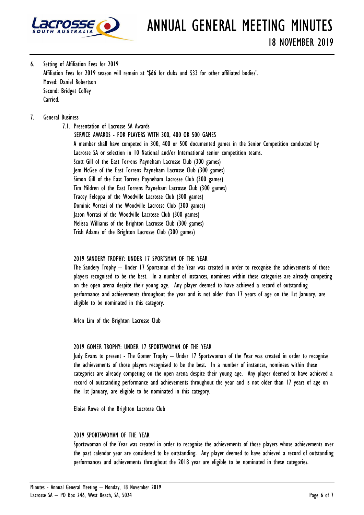

6. Setting of Affiliation Fees for 2019 Affiliation Fees for 2019 season will remain at '\$66 for clubs and \$33 for other affiliated bodies'. Moved: Daniel Robertson Second: Bridget Coffey Carried.

## 7. General Business

7.1. Presentation of Lacrosse SA Awards SERVICE AWARDS - FOR PLAYERS WITH 300, 400 OR 500 GAMES A member shall have competed in 300, 400 or 500 documented games in the Senior Competition conducted by Lacrosse SA or selection in 10 National and/or International senior competition teams. Scott Gill of the East Torrens Payneham Lacrosse Club (300 games) Jem McGee of the East Torrens Payneham Lacrosse Club (300 games) Simon Gill of the East Torrens Payneham Lacrosse Club (300 games) Tim Mildren of the East Torrens Payneham Lacrosse Club (300 games) Tracey Feleppa of the Woodville Lacrosse Club (300 games) Dominic Vorrasi of the Woodville Lacrosse Club (300 games) Jason Vorrasi of the Woodville Lacrosse Club (300 games) Melissa Williams of the Brighton Lacrosse Club (300 games) Trish Adams of the Brighton Lacrosse Club (300 games)

### 2019 SANDERY TROPHY: UNDER 17 SPORTSMAN OF THE YEAR

The Sandery Trophy – Under 17 Sportsman of the Year was created in order to recognise the achievements of those players recognised to be the best. In a number of instances, nominees within these categories are already competing on the open arena despite their young age. Any player deemed to have achieved a record of outstanding performance and achievements throughout the year and is not older than 17 years of age on the 1st January, are eligible to be nominated in this category.

Arlen Lim of the Brighton Lacrosse Club

#### 2019 GOMER TROPHY: UNDER 17 SPORTSWOMAN OF THE YEAR

Judy Evans to present - The Gomer Trophy – Under 17 Sportswoman of the Year was created in order to recognise the achievements of those players recognised to be the best. In a number of instances, nominees within these categories are already competing on the open arena despite their young age. Any player deemed to have achieved a record of outstanding performance and achievements throughout the year and is not older than 17 years of age on the 1st January, are eligible to be nominated in this category.

Eloise Rowe of the Brighton Lacrosse Club

#### 2019 SPORTSWOMAN OF THE YEAR

Sportswoman of the Year was created in order to recognise the achievements of those players whose achievements over the past calendar year are considered to be outstanding. Any player deemed to have achieved a record of outstanding performances and achievements throughout the 2018 year are eligible to be nominated in these categories.